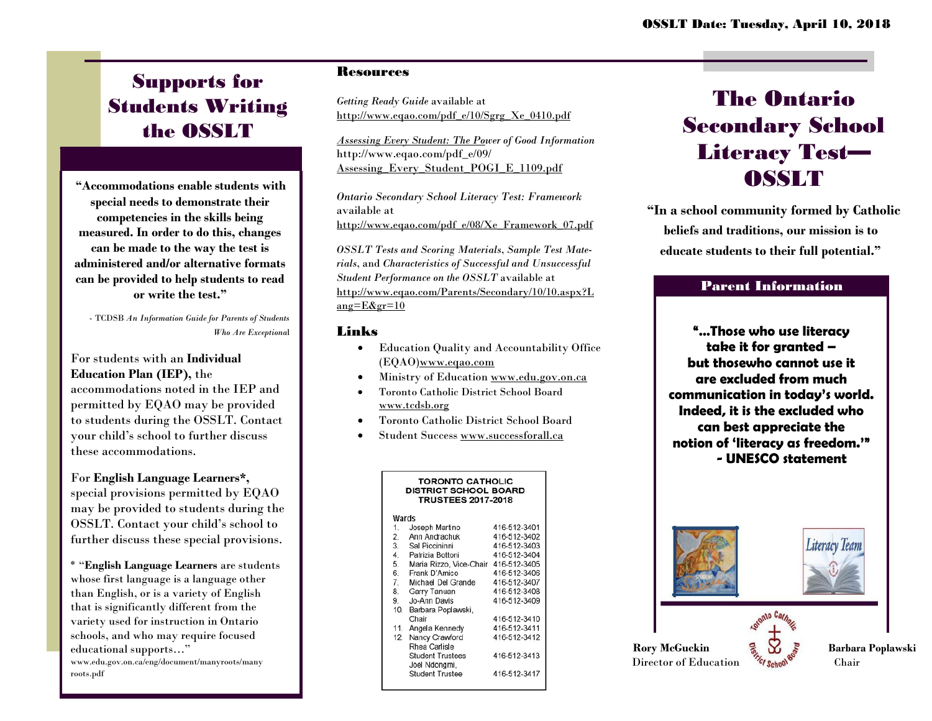# Supports for Students Writing the OSSLT

**"Accommodations enable students with special needs to demonstrate their competencies in the skills being measured. In order to do this, changes can be made to the way the test is administered and/or alternative formats can be provided to help students to read or write the test."**

- TCDSB *An Information Guide for Parents of Students Who Are Exceptiona*l

### For students with an **Individual Education Plan (IEP),** the

accommodations noted in the IEP and permitted by EQAO may be provided to students during the OSSLT. Contact your child's school to further discuss these accommodations.

## For **English Language Learners\*,**

special provisions permitted by EQAO may be provided to students during the OSSLT. Contact your child's school to further discuss these special provisions.

\* "**English Language Learners** are students whose first language is a language other than English, or is a variety of English that is significantly different from the variety used for instruction in Ontario schools, and who may require focused educational supports…" [www.edu.gov.on.ca/eng/document/manyroots/many](http://www.edu.gov.on.ca/eng/document/manyroots/many)

roots.pdf

### **Resources**

*Getting Ready Guide* available at [http://www.eqao.com/pdf\\_e/10/Sgrg\\_Xe\\_0410.pdf](http://www.eqao.com/pdf_e/10/Sgrg_Xe_0410.pdf)

*Assessing Every Student: The Power of Good Information* [http://www.eqao.com/pdf\\_e/09/](http://www.eqao.com/pdf_e/09/) Assessing\_Every\_Student\_POGI\_E\_1109.pdf

*Ontario Secondary School Literacy Test: Framework* available at [http://www.eqao.com/pdf\\_e/08/Xe\\_Framework\\_07.pdf](http://www.eqao.com/pdf_e/08/Xe_Framework_07.pdf)

*OSSLT Tests and Scoring Materials*, *Sample Test Materials*, and *Characteristics of Successful and Unsuccessful Student Performance on the OSSLT* available at <http://www.eqao.com/Parents/Secondary/10/10.aspx?L> ang= $E&gr=10$ 

#### Links

- Education Quality and Accountability Office (EQAO[\)www.eqao.com](http://www.eqao.com/)
- Ministry of Education [www.edu.gov.on.ca](http://www.edu.gov.on.ca/)
- Toronto Catholic District School Board [www.tcdsb.org](http://www.tcdsb.org/)
- Toronto Catholic District School Board
- Student Success [www.successforall.ca](http://www.successforall.ca/)

| <b>TORONTO CATHOLIC</b><br><b>DISTRICT SCHOOL BOARD</b><br><b>TRUSTEES 2017-2018</b> |                                      |              |
|--------------------------------------------------------------------------------------|--------------------------------------|--------------|
| Wards                                                                                |                                      |              |
| 1.                                                                                   | Joseph Martino                       | 416-512-3401 |
| 2.                                                                                   | Ann Andrachuk                        | 416-512-3402 |
| 3.                                                                                   | Sal Piccininni                       | 416-512-3403 |
|                                                                                      | 4. Patrizia Bottoni                  | 416-512-3404 |
| 5.                                                                                   | Maria Rizzo, Vice-Chair 416-512-3405 |              |
| 6.                                                                                   | Frank D'Amico                        | 416-512-3406 |
| 7.                                                                                   | Michael Del Grande                   | 416-512-3407 |
| 8.                                                                                   | Garry Tanuan                         | 416-512-3408 |
| 9.                                                                                   | Jo-Ann Davis                         | 416-512-3409 |
| 10.                                                                                  | Barbara Poplawski,                   |              |
|                                                                                      | Chair                                | 416-512-3410 |
| 11.                                                                                  | Angela Kennedy                       | 416-512-3411 |
| 12.                                                                                  | Nancy Crawford                       | 416-512-3412 |
|                                                                                      | Rhea Carlisle                        |              |
|                                                                                      | <b>Student Trustees</b>              | 416-512-3413 |
|                                                                                      | Joel Ndongmi,                        |              |
|                                                                                      | <b>Student Trustee</b>               | 416-512-3417 |
|                                                                                      |                                      |              |

# The Ontario Secondary School Literacy Test— **OSSLT**

**"In a school community formed by Catholic beliefs and traditions, our mission is to educate students to their full potential."**

## Parent Information

**"…Those who use literacy take it for granted – but thosewho cannot use it are excluded from much communication in today's world. Indeed, it is the excluded who can best appreciate the notion of 'literacy as freedom.'" - UNESCO statement**